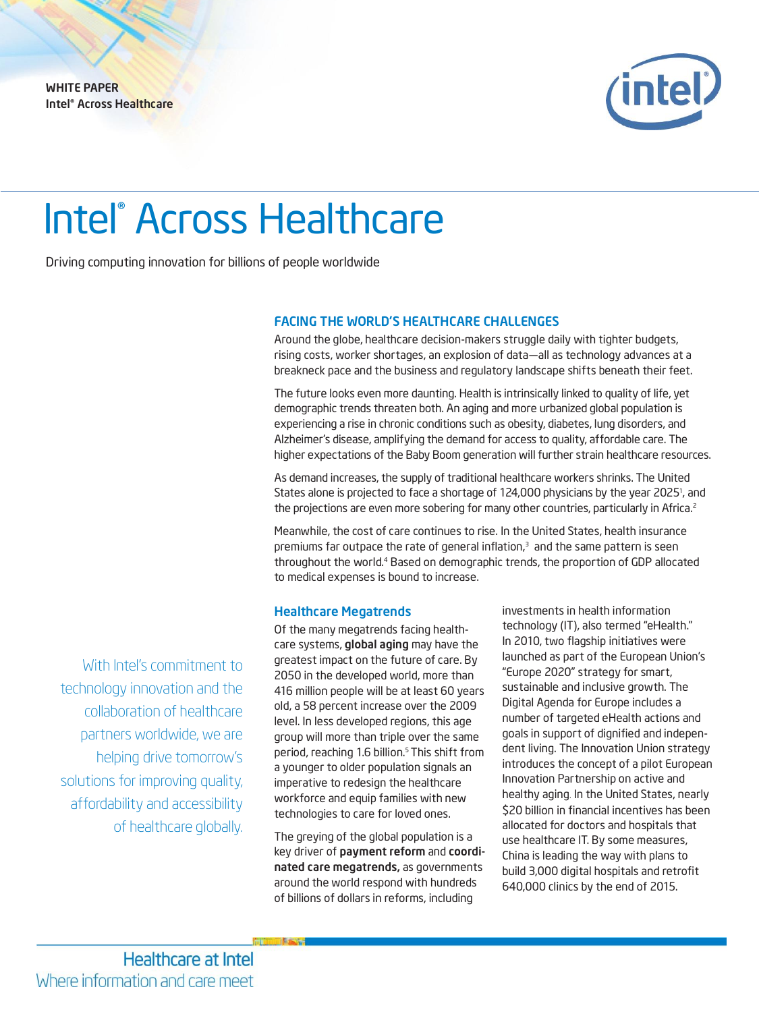WHITE PAPER Intel® Across Healthcare



# Intel ® Across Healthcare

Driving computing innovation for billions of people worldwide

### FACING THE WORLD'S HEALTHCARE CHALLENGES

Around the globe, healthcare decision-makers struggle daily with tighter budgets, rising costs, worker shortages, an explosion of data—all as technology advances at a breakneck pace and the business and regulatory landscape shifts beneath their feet.

The future looks even more daunting. Health is intrinsically linked to quality of life, yet demographic trends threaten both. An aging and more urbanized global population is experiencing a rise in chronic conditions such as obesity, diabetes, lung disorders, and Alzheimer's disease, amplifying the demand for access to quality, affordable care. The higher expectations of the Baby Boom generation will further strain healthcare resources.

As demand increases, the supply of traditional healthcare workers shrinks. The United States alone is projected to face a shortage of 124,000 physicians by the year 2025<sup>1</sup>, and the projections are even more sobering for many other countries, particularly in Africa.<sup>2</sup>

Meanwhile, the cost of care continues to rise. In the United States, health insurance premiums far outpace the rate of general inflation, <sup>3</sup>and the same pattern is seen throughout the world. <sup>4</sup> Based on demographic trends, the proportion of GDP allocated to medical expenses is bound to increase.

## Healthcare Megatrends

Of the many megatrends facing healthcare systems, global aging may have the greatest impact on the future of care. By 2050 in the developed world, more than 416 million people will be at least 60 years old, a 58 percent increase over the 2009 level. In less developed regions, this age group will more than triple over the same period, reaching 1.6 billion. <sup>5</sup> This shift from a younger to older population signals an imperative to redesign the healthcare workforce and equip families with new technologies to care for loved ones.

The greying of the global population is a key driver of payment reform and coordinated care megatrends, as governments around the world respond with hundreds of billions of dollars in reforms, including

investments in health information technology (IT), also termed "eHealth." In 2010, two flagship initiatives were launched as part of the European Union's "Europe 2020" strategy for smart, sustainable and inclusive growth. The Digital Agenda for Europe includes a number of targeted eHealth actions and goals in support of dignified and independent living. The Innovation Union strategy introduces the concept of a pilot European Innovation Partnership on active and healthy aging. In the United States, nearly \$20 billion in financial incentives has been allocated for doctors and hospitals that use healthcare IT. By some measures, China is leading the way with plans to build 3,000 digital hospitals and retrofit 640,000 clinics by the end of 2015.

With Intel's commitment to technology innovation and the collaboration of healthcare partners worldwide, we are helping drive tomorrow's solutions for improving quality, affordability and accessibility of healthcare globally.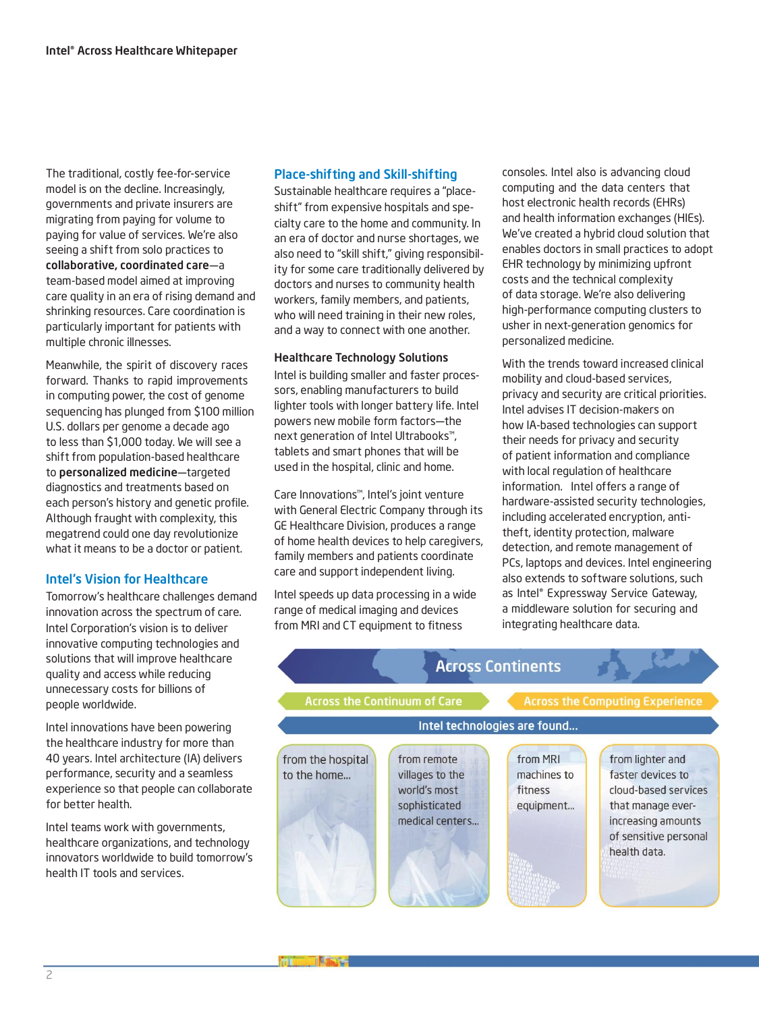The traditional, costly fee-for-service model is on the decline. Increasingly, governments and private insurers are migrating from paying for volume to paying for value of services. We're also seeing a shift from solo practices to collaborative, coordinated care—a team-based model aimed at improving care quality in an era of rising demand and shrinking resources. Care coordination is particularly important for patients with multiple chronic illnesses.

Meanwhile, the spirit of discovery races forward. Thanks to rapid improvements in computing power, the cost of genome sequencing has plunged from \$100 million U.S. dollars per genome a decade ago to less than \$1,000 today. We will see a shift from population-based healthcare to personalized medicine—targeted diagnostics and treatments based on each person's history and genetic profile. Although fraught with complexity, this megatrend could one day revolutionize what it means to be a doctor or patient.

# Intel's Vision for Healthcare

Tomorrow's healthcare challenges demand innovation across the spectrum of care. Intel Corporation's vision is to deliver innovative computing technologies and solutions that will improve healthcare quality and access while reducing unnecessary costs for billions of people worldwide.

Intel innovations have been powering the healthcare industry for more than 40 years. Intel architecture (IA) delivers performance, security and a seamless experience so that people can collaborate for better health.

Intel teams work with governments, healthcare organizations, and technology innovators worldwide to build tomorrow's health IT tools and services.

# Place-shifting and Skill-shifting

Sustainable healthcare requires a "placeshift" from expensive hospitals and specialty care to the home and community. In an era of doctor and nurse shortages, we also need to "skill shift," giving responsibility for some care traditionally delivered by doctors and nurses to community health workers, family members, and patients, who will need training in their new roles, and a way to connect with one another.

## Healthcare Technology Solutions

Intel is building smaller and faster processors, enabling manufacturers to build lighter tools with longer battery life. Intel powers new mobile form factors—the next generation of Intel Ultrabooks™, tablets and smart phones that will be used in the hospital, clinic and home.

Care Innovations™, Intel's joint venture with General Electric Company through its GE Healthcare Division, produces a range of home health devices to help caregivers, family members and patients coordinate care and support independent living.

Intel speeds up data processing in a wide range of medical imaging and devices from MRI and CT equipment to fitness

consoles. Intel also is advancing cloud computing and the data centers that host electronic health records (EHRs) and health information exchanges (HIEs). We've created a hybrid cloud solution that enables doctors in small practices to adopt EHR technology by minimizing upfront costs and the technical complexity of data storage. We're also delivering high-performance computing clusters to usher in next-generation genomics for personalized medicine.

With the trends toward increased clinical mobility and cloud-based services, privacy and security are critical priorities. Intel advises IT decision-makers on how IA-based technologies can support their needs for privacy and security of patient information and compliance with local regulation of healthcare information. Intel offers a range of hardware-assisted security technologies, including accelerated encryption, antitheft, identity protection, malware detection, and remote management of PCs, laptops and devices. Intel engineering also extends to software solutions, such as Intel® Expressway Service Gateway, a middleware solution for securing and integrating healthcare data.

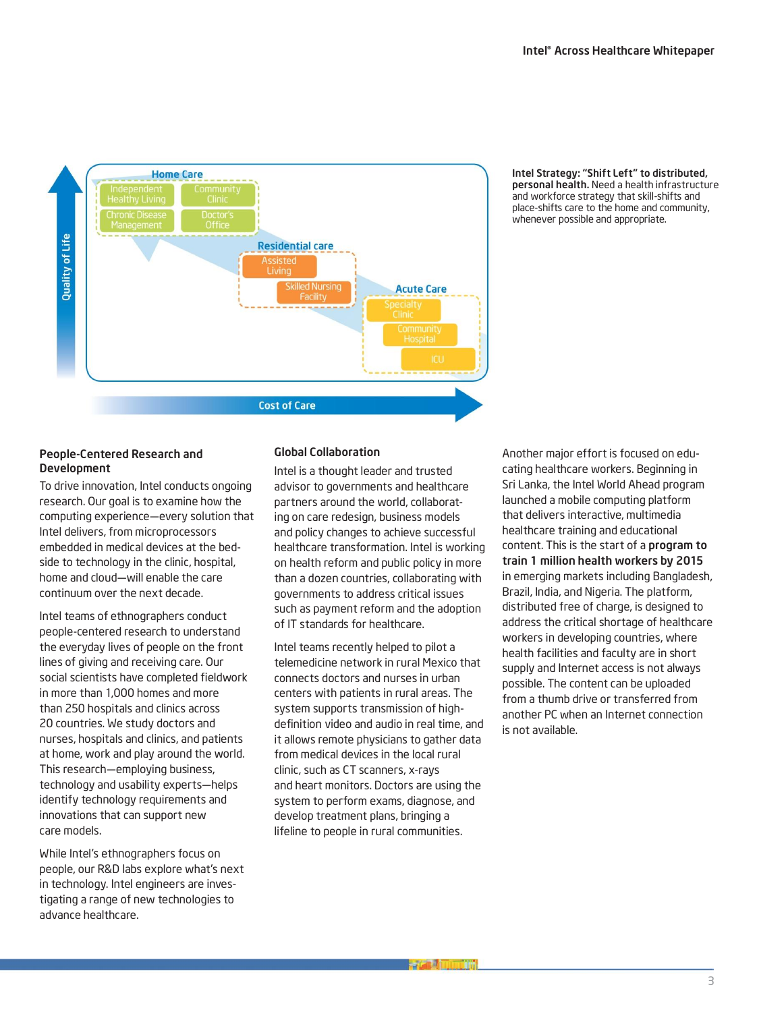

#### Intel Strategy: "Shift Left" to distributed, personal health. Need a health infrastructure and workforce strategy that skill-shifts and place-shifts care to the home and community, whenever possible and appropriate.

## People-Centered Research and Development

To drive innovation, Intel conducts ongoing research. Our goal is to examine how the computing experience—every solution that Intel delivers, from microprocessors embedded in medical devices at the bedside to technology in the clinic, hospital, home and cloud—will enable the care continuum over the next decade.

Intel teams of ethnographers conduct people-centered research to understand the everyday lives of people on the front lines of giving and receiving care. Our social scientists have completed fieldwork in more than 1,000 homes and more than 250 hospitals and clinics across 20 countries. We study doctors and nurses, hospitals and clinics, and patients at home, work and play around the world. This research—employing business, technology and usability experts—helps identify technology requirements and innovations that can support new care models.

While Intel's ethnographers focus on people, our R&D labs explore what's next in technology. Intel engineers are investigating a range of new technologies to advance healthcare.

# Global Collaboration

Intel is a thought leader and trusted advisor to governments and healthcare partners around the world, collaborating on care redesign, business models and policy changes to achieve successful healthcare transformation. Intel is working on health reform and public policy in more than a dozen countries, collaborating with governments to address critical issues such as payment reform and the adoption of IT standards for healthcare.

Intel teams recently helped to pilot a telemedicine network in rural Mexico that connects doctors and nurses in urban centers with patients in rural areas. The system supports transmission of highdefinition video and audio in real time, and it allows remote physicians to gather data from medical devices in the local rural clinic, such as CT scanners, x-rays and heart monitors. Doctors are using the system to perform exams, diagnose, and develop treatment plans, bringing a lifeline to people in rural communities.

Another major effort is focused on educating healthcare workers. Beginning in Sri Lanka, the Intel World Ahead program launched a mobile computing platform that delivers interactive, multimedia healthcare training and educational content. This is the start of a program to train 1 million health workers by 2015 in emerging markets including Bangladesh, Brazil, India, and Nigeria. The platform, distributed free of charge, is designed to address the critical shortage of healthcare workers in developing countries, where health facilities and faculty are in short supply and Internet access is not always possible. The content can be uploaded from a thumb drive or transferred from another PC when an Internet connection is not available.